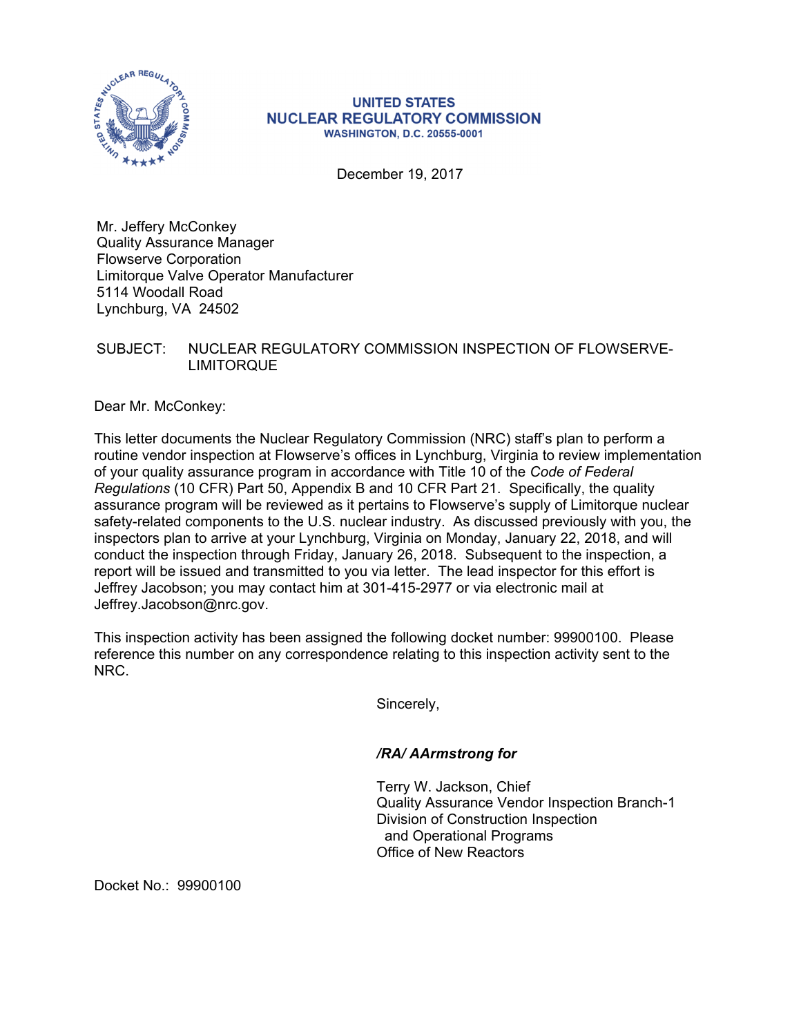

## **UNITED STATES NUCLEAR REGULATORY COMMISSION WASHINGTON, D.C. 20555-0001**

December 19, 2017

Mr. Jeffery McConkey Quality Assurance Manager Flowserve Corporation Limitorque Valve Operator Manufacturer 5114 Woodall Road Lynchburg, VA 24502

## SUBJECT: NUCLEAR REGULATORY COMMISSION INSPECTION OF FLOWSERVE-LIMITORQUE

Dear Mr. McConkey:

This letter documents the Nuclear Regulatory Commission (NRC) staff's plan to perform a routine vendor inspection at Flowserve's offices in Lynchburg, Virginia to review implementation of your quality assurance program in accordance with Title 10 of the *Code of Federal Regulations* (10 CFR) Part 50, Appendix B and 10 CFR Part 21. Specifically, the quality assurance program will be reviewed as it pertains to Flowserve's supply of Limitorque nuclear safety-related components to the U.S. nuclear industry. As discussed previously with you, the inspectors plan to arrive at your Lynchburg, Virginia on Monday, January 22, 2018, and will conduct the inspection through Friday, January 26, 2018. Subsequent to the inspection, a report will be issued and transmitted to you via letter. The lead inspector for this effort is Jeffrey Jacobson; you may contact him at 301-415-2977 or via electronic mail at Jeffrey.Jacobson@nrc.gov.

This inspection activity has been assigned the following docket number: 99900100. Please reference this number on any correspondence relating to this inspection activity sent to the NRC.

Sincerely,

## */RA/ AArmstrong for*

Terry W. Jackson, Chief Quality Assurance Vendor Inspection Branch-1 Division of Construction Inspection and Operational Programs Office of New Reactors

Docket No.: 99900100